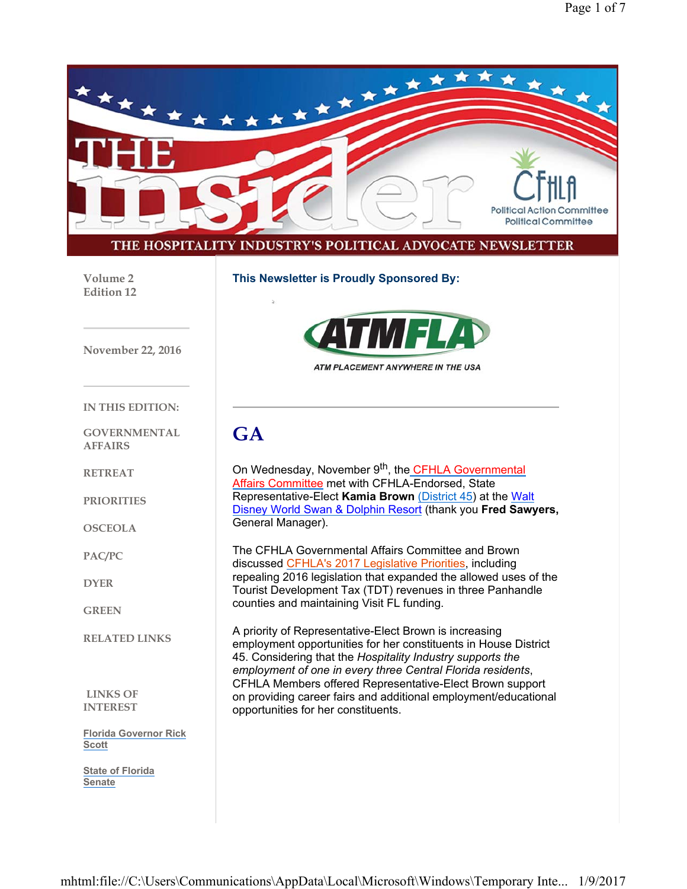

**GREEN**

**RELATED LINKS**

**LINKS OF INTEREST**

**Florida Governor Rick Scott**

**State of Florida Senate**

A priority of Representative-Elect Brown is increasing employment opportunities for her constituents in House District 45. Considering that the *Hospitality Industry supports the employment of one in every three Central Florida residents*, CFHLA Members offered Representative-Elect Brown support on providing career fairs and additional employment/educational opportunities for her constituents.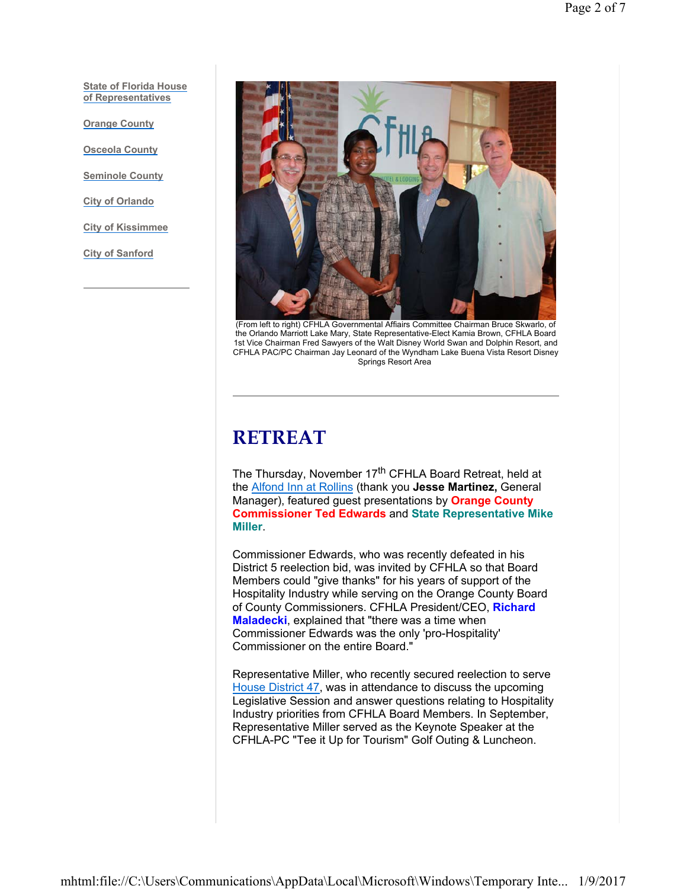**State of Florida House of Representatives**

**Orange County**

**Osceola County**

**Seminole County**

**City of Orlando**

**City of Kissimmee**

**City of Sanford**



(From left to right) CFHLA Governmental Affiairs Committee Chairman Bruce Skwarlo, of the Orlando Marriott Lake Mary, State Representative-Elect Kamia Brown, CFHLA Board 1st Vice Chairman Fred Sawyers of the Walt Disney World Swan and Dolphin Resort, and CFHLA PAC/PC Chairman Jay Leonard of the Wyndham Lake Buena Vista Resort Disney Springs Resort Area

#### **RETREAT**

The Thursday, November 17<sup>th</sup> CFHLA Board Retreat, held at the Alfond Inn at Rollins (thank you **Jesse Martinez,** General Manager), featured guest presentations by **Orange County Commissioner Ted Edwards** and **State Representative Mike Miller**.

Commissioner Edwards, who was recently defeated in his District 5 reelection bid, was invited by CFHLA so that Board Members could "give thanks" for his years of support of the Hospitality Industry while serving on the Orange County Board of County Commissioners. CFHLA President/CEO, **Richard Maladecki**, explained that "there was a time when Commissioner Edwards was the only 'pro-Hospitality' Commissioner on the entire Board."

Representative Miller, who recently secured reelection to serve House District 47, was in attendance to discuss the upcoming Legislative Session and answer questions relating to Hospitality Industry priorities from CFHLA Board Members. In September, Representative Miller served as the Keynote Speaker at the CFHLA-PC "Tee it Up for Tourism" Golf Outing & Luncheon.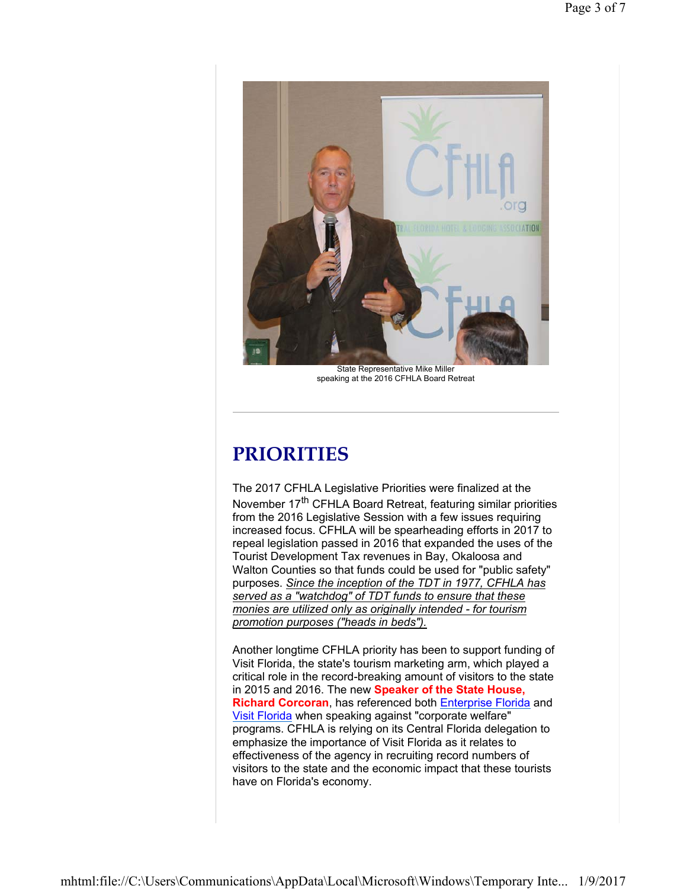

State Representative Mike Miller speaking at the 2016 CFHLA Board Retreat

## **PRIORITIES**

The 2017 CFHLA Legislative Priorities were finalized at the November 17<sup>th</sup> CFHLA Board Retreat, featuring similar priorities from the 2016 Legislative Session with a few issues requiring increased focus. CFHLA will be spearheading efforts in 2017 to repeal legislation passed in 2016 that expanded the uses of the Tourist Development Tax revenues in Bay, Okaloosa and Walton Counties so that funds could be used for "public safety" purposes. *Since the inception of the TDT in 1977, CFHLA has served as a "watchdog" of TDT funds to ensure that these monies are utilized only as originally intended - for tourism promotion purposes ("heads in beds").*

Another longtime CFHLA priority has been to support funding of Visit Florida, the state's tourism marketing arm, which played a critical role in the record-breaking amount of visitors to the state in 2015 and 2016. The new **Speaker of the State House, Richard Corcoran**, has referenced both Enterprise Florida and Visit Florida when speaking against "corporate welfare" programs. CFHLA is relying on its Central Florida delegation to emphasize the importance of Visit Florida as it relates to effectiveness of the agency in recruiting record numbers of visitors to the state and the economic impact that these tourists have on Florida's economy.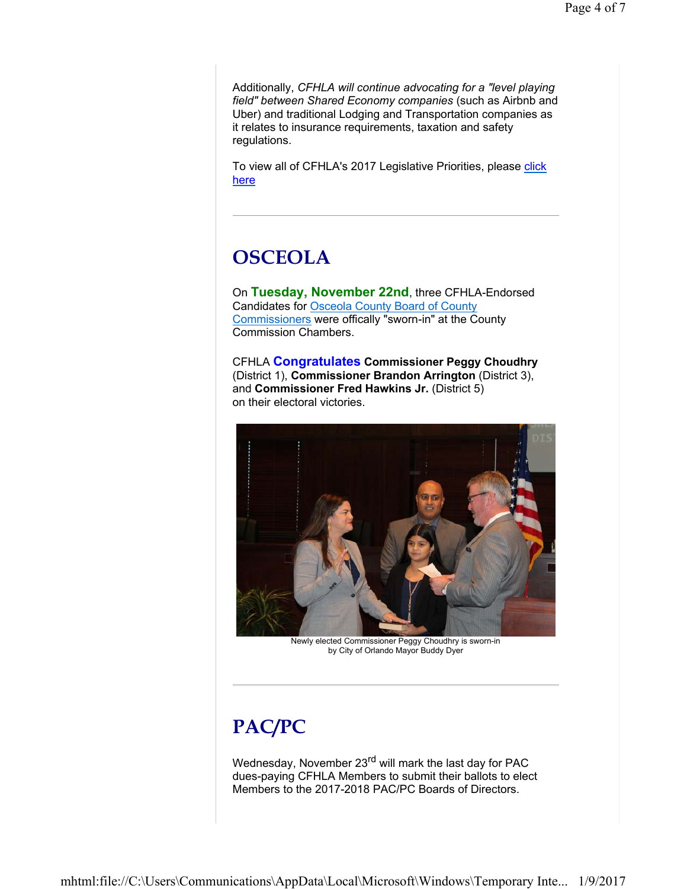Additionally, *CFHLA will continue advocating for a "level playing field" between Shared Economy companies* (such as Airbnb and Uber) and traditional Lodging and Transportation companies as it relates to insurance requirements, taxation and safety regulations.

To view all of CFHLA's 2017 Legislative Priorities, please click here

#### **OSCEOLA**

On **Tuesday, November 22nd**, three CFHLA-Endorsed Candidates for Osceola County Board of County Commissioners were offically "sworn-in" at the County Commission Chambers.

CFHLA **Congratulates Commissioner Peggy Choudhry** (District 1), **Commissioner Brandon Arrington** (District 3), and **Commissioner Fred Hawkins Jr.** (District 5) on their electoral victories.



Newly elected Commissioner Peggy Choudhry is sworn-in by City of Orlando Mayor Buddy Dyer

# **PAC/PC**

Wednesday, November 23<sup>rd</sup> will mark the last day for PAC dues-paying CFHLA Members to submit their ballots to elect Members to the 2017-2018 PAC/PC Boards of Directors.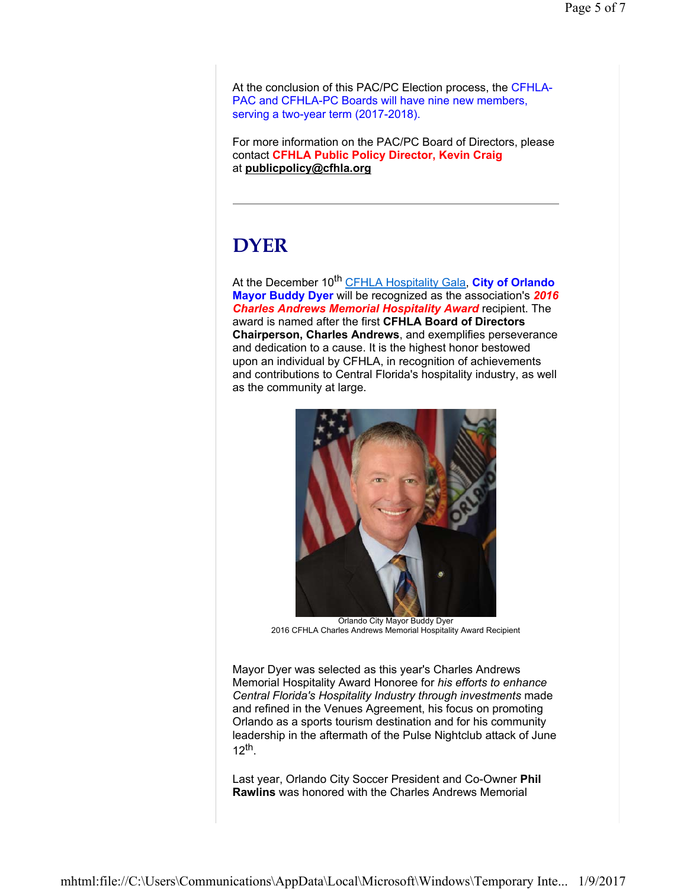At the conclusion of this PAC/PC Election process, the CFHLA-PAC and CFHLA-PC Boards will have nine new members, serving a two-year term (2017-2018).

For more information on the PAC/PC Board of Directors, please contact **CFHLA Public Policy Director, Kevin Craig** at **publicpolicy@cfhla.org**

#### **DYER**

At the December 10<sup>th</sup> CFHLA Hospitality Gala, City of Orlando **Mayor Buddy Dyer** will be recognized as the association's *2016 Charles Andrews Memorial Hospitality Award* recipient. The award is named after the first **CFHLA Board of Directors Chairperson, Charles Andrews**, and exemplifies perseverance and dedication to a cause. It is the highest honor bestowed upon an individual by CFHLA, in recognition of achievements and contributions to Central Florida's hospitality industry, as well as the community at large.



Orlando City Mayor Buddy Dyer 2016 CFHLA Charles Andrews Memorial Hospitality Award Recipient

Mayor Dyer was selected as this year's Charles Andrews Memorial Hospitality Award Honoree for *his efforts to enhance Central Florida's Hospitality Industry through investments* made and refined in the Venues Agreement, his focus on promoting Orlando as a sports tourism destination and for his community leadership in the aftermath of the Pulse Nightclub attack of June  $12$ <sup>th</sup>.

Last year, Orlando City Soccer President and Co-Owner **Phil Rawlins** was honored with the Charles Andrews Memorial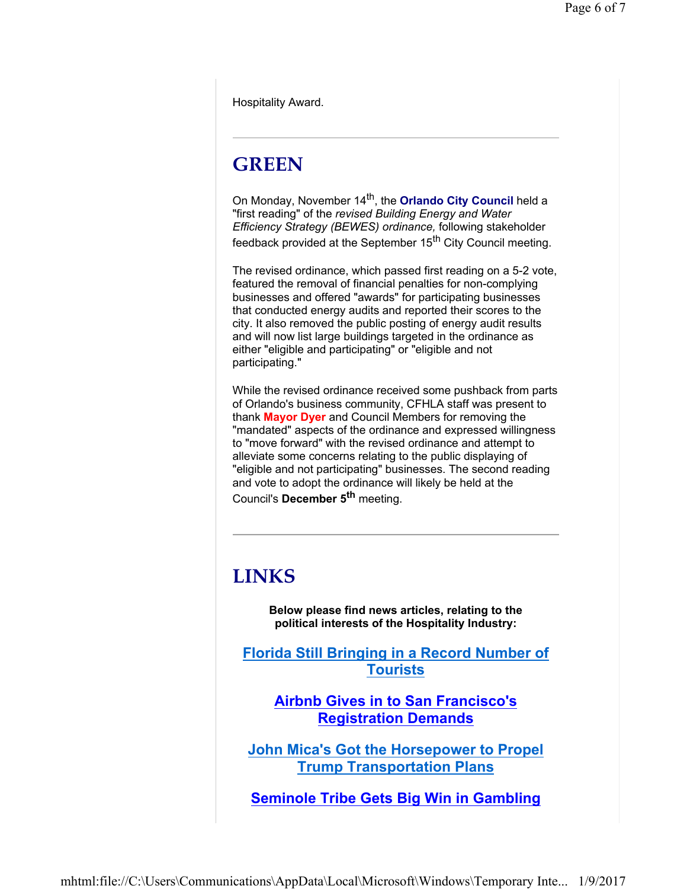Hospitality Award.

## **GREEN**

On Monday, November 14<sup>th</sup>, the **Orlando City Council** held a "first reading" of the *revised Building Energy and Water Efficiency Strategy (BEWES) ordinance,* following stakeholder feedback provided at the September 15<sup>th</sup> City Council meeting.

The revised ordinance, which passed first reading on a 5-2 vote, featured the removal of financial penalties for non-complying businesses and offered "awards" for participating businesses that conducted energy audits and reported their scores to the city. It also removed the public posting of energy audit results and will now list large buildings targeted in the ordinance as either "eligible and participating" or "eligible and not participating."

While the revised ordinance received some pushback from parts of Orlando's business community, CFHLA staff was present to thank **Mayor Dyer** and Council Members for removing the "mandated" aspects of the ordinance and expressed willingness to "move forward" with the revised ordinance and attempt to alleviate some concerns relating to the public displaying of "eligible and not participating" businesses. The second reading and vote to adopt the ordinance will likely be held at the Council's **December 5th** meeting.

#### **LINKS**

**Below please find news articles, relating to the political interests of the Hospitality Industry:**

**Florida Still Bringing in a Record Number of Tourists**

**Airbnb Gives in to San Francisco's Registration Demands**

**John Mica's Got the Horsepower to Propel Trump Transportation Plans**

**Seminole Tribe Gets Big Win in Gambling**